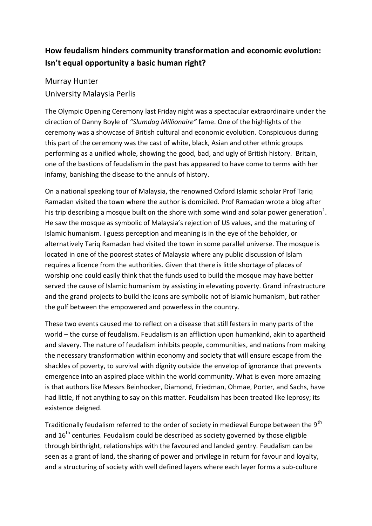## **How feudalism hinders community transformation and economic evolution: Isn't equal opportunity a basic human right?**

Murray Hunter University Malaysia Perlis

The Olympic Opening Ceremony last Friday night was a spectacular extraordinaire under the direction of Danny Boyle of *"Slumdog Millionaire"* fame. One of the highlights of the ceremony was a showcase of British cultural and economic evolution. Conspicuous during this part of the ceremony was the cast of white, black, Asian and other ethnic groups performing as a unified whole, showing the good, bad, and ugly of British history. Britain, one of the bastions of feudalism in the past has appeared to have come to terms with her infamy, banishing the disease to the annuls of history.

On a national speaking tour of Malaysia, the renowned Oxford Islamic scholar Prof Tariq Ramadan visited the town where the author is domiciled. Prof Ramadan wrote a blog after his trip describing a mosque built on the shore with some wind and solar power generation<sup>1</sup>. He saw the mosque as symbolic of Malaysia's rejection of US values, and the maturing of Islamic humanism. I guess perception and meaning is in the eye of the beholder, or alternatively Tariq Ramadan had visited the town in some parallel universe. The mosque is located in one of the poorest states of Malaysia where any public discussion of Islam requires a licence from the authorities. Given that there is little shortage of places of worship one could easily think that the funds used to build the mosque may have better served the cause of Islamic humanism by assisting in elevating poverty. Grand infrastructure and the grand projects to build the icons are symbolic not of Islamic humanism, but rather the gulf between the empowered and powerless in the country.

These two events caused me to reflect on a disease that still festers in many parts of the world – the curse of feudalism. Feudalism is an affliction upon humankind, akin to apartheid and slavery. The nature of feudalism inhibits people, communities, and nations from making the necessary transformation within economy and society that will ensure escape from the shackles of poverty, to survival with dignity outside the envelop of ignorance that prevents emergence into an aspired place within the world community. What is even more amazing is that authors like Messrs Beinhocker, Diamond, Friedman, Ohmae, Porter, and Sachs, have had little, if not anything to say on this matter. Feudalism has been treated like leprosy; its existence deigned.

Traditionally feudalism referred to the order of society in medieval Europe between the 9<sup>th</sup> and 16<sup>th</sup> centuries. Feudalism could be described as society governed by those eligible through birthright, relationships with the favoured and landed gentry. Feudalism can be seen as a grant of land, the sharing of power and privilege in return for favour and loyalty, and a structuring of society with well defined layers where each layer forms a sub-culture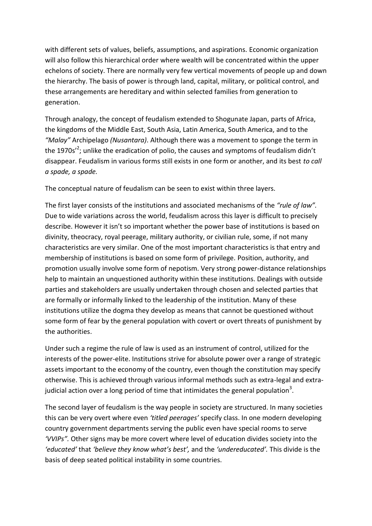with different sets of values, beliefs, assumptions, and aspirations. Economic organization will also follow this hierarchical order where wealth will be concentrated within the upper echelons of society. There are normally very few vertical movements of people up and down the hierarchy. The basis of power is through land, capital, military, or political control, and these arrangements are hereditary and within selected families from generation to generation.

Through analogy, the concept of feudalism extended to Shogunate Japan, parts of Africa, the kingdoms of the Middle East, South Asia, Latin America, South America, and to the *"Malay"* Archipelago *(Nusantara)*. Although there was a movement to sponge the term in the 1970s<sup>'2</sup>; unlike the eradication of polio, the causes and symptoms of feudalism didn't disappear. Feudalism in various forms still exists in one form or another, and its best *to call a spade, a spade.* 

The conceptual nature of feudalism can be seen to exist within three layers.

The first layer consists of the institutions and associated mechanisms of the *"rule of law".* Due to wide variations across the world, feudalism across this layer is difficult to precisely describe. However it isn't so important whether the power base of institutions is based on divinity, theocracy, royal peerage, military authority, or civilian rule, some, if not many characteristics are very similar. One of the most important characteristics is that entry and membership of institutions is based on some form of privilege. Position, authority, and promotion usually involve some form of nepotism. Very strong power-distance relationships help to maintain an unquestioned authority within these institutions. Dealings with outside parties and stakeholders are usually undertaken through chosen and selected parties that are formally or informally linked to the leadership of the institution. Many of these institutions utilize the dogma they develop as means that cannot be questioned without some form of fear by the general population with covert or overt threats of punishment by the authorities.

Under such a regime the rule of law is used as an instrument of control, utilized for the interests of the power-elite. Institutions strive for absolute power over a range of strategic assets important to the economy of the country, even though the constitution may specify otherwise. This is achieved through various informal methods such as extra-legal and extrajudicial action over a long period of time that intimidates the general population<sup>3</sup>.

The second layer of feudalism is the way people in society are structured. In many societies this can be very overt where even *'titled peerages'* specify class. In one modern developing country government departments serving the public even have special rooms to serve *'VVIPs".* Other signs may be more covert where level of education divides society into the *'educated'* that *'believe they know what's best',* and the *'undereducated'.* This divide is the basis of deep seated political instability in some countries.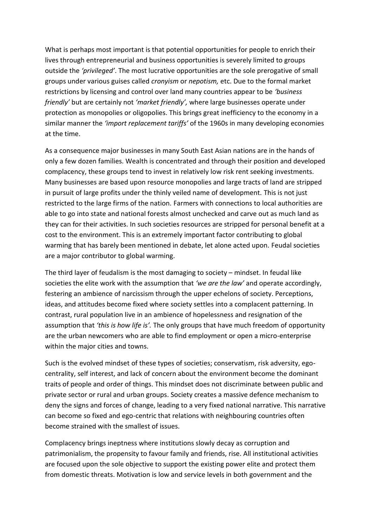What is perhaps most important is that potential opportunities for people to enrich their lives through entrepreneurial and business opportunities is severely limited to groups outside the *'privileged'*. The most lucrative opportunities are the sole prerogative of small groups under various guises called *cronyism* or *nepotism,* etc. Due to the formal market restrictions by licensing and control over land many countries appear to be *'business friendly'* but are certainly not *'market friendly',* where large businesses operate under protection as monopolies or oligopolies. This brings great inefficiency to the economy in a similar manner the *'import replacement tariffs'* of the 1960s in many developing economies at the time.

As a consequence major businesses in many South East Asian nations are in the hands of only a few dozen families. Wealth is concentrated and through their position and developed complacency, these groups tend to invest in relatively low risk rent seeking investments. Many businesses are based upon resource monopolies and large tracts of land are stripped in pursuit of large profits under the thinly veiled name of development. This is not just restricted to the large firms of the nation. Farmers with connections to local authorities are able to go into state and national forests almost unchecked and carve out as much land as they can for their activities. In such societies resources are stripped for personal benefit at a cost to the environment. This is an extremely important factor contributing to global warming that has barely been mentioned in debate, let alone acted upon. Feudal societies are a major contributor to global warming.

The third layer of feudalism is the most damaging to society – mindset. In feudal like societies the elite work with the assumption that *'we are the law'* and operate accordingly, festering an ambience of narcissism through the upper echelons of society. Perceptions, ideas, and attitudes become fixed where society settles into a complacent patterning. In contrast, rural population live in an ambience of hopelessness and resignation of the assumption that *'this is how life is'.* The only groups that have much freedom of opportunity are the urban newcomers who are able to find employment or open a micro-enterprise within the major cities and towns.

Such is the evolved mindset of these types of societies; conservatism, risk adversity, egocentrality, self interest, and lack of concern about the environment become the dominant traits of people and order of things. This mindset does not discriminate between public and private sector or rural and urban groups. Society creates a massive defence mechanism to deny the signs and forces of change, leading to a very fixed national narrative. This narrative can become so fixed and ego-centric that relations with neighbouring countries often become strained with the smallest of issues.

Complacency brings ineptness where institutions slowly decay as corruption and patrimonialism, the propensity to favour family and friends, rise. All institutional activities are focused upon the sole objective to support the existing power elite and protect them from domestic threats. Motivation is low and service levels in both government and the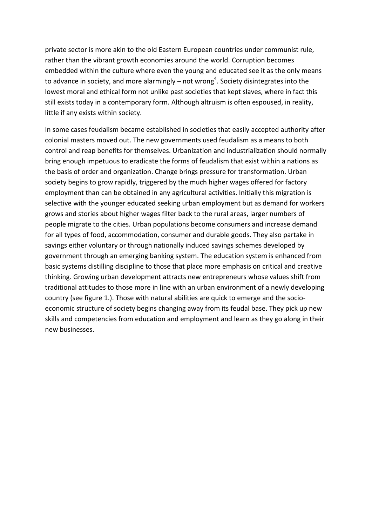private sector is more akin to the old Eastern European countries under communist rule, rather than the vibrant growth economies around the world. Corruption becomes embedded within the culture where even the young and educated see it as the only means to advance in society, and more alarmingly – not wrong<sup>4</sup>. Society disintegrates into the lowest moral and ethical form not unlike past societies that kept slaves, where in fact this still exists today in a contemporary form. Although altruism is often espoused, in reality, little if any exists within society.

In some cases feudalism became established in societies that easily accepted authority after colonial masters moved out. The new governments used feudalism as a means to both control and reap benefits for themselves. Urbanization and industrialization should normally bring enough impetuous to eradicate the forms of feudalism that exist within a nations as the basis of order and organization. Change brings pressure for transformation. Urban society begins to grow rapidly, triggered by the much higher wages offered for factory employment than can be obtained in any agricultural activities. Initially this migration is selective with the younger educated seeking urban employment but as demand for workers grows and stories about higher wages filter back to the rural areas, larger numbers of people migrate to the cities. Urban populations become consumers and increase demand for all types of food, accommodation, consumer and durable goods. They also partake in savings either voluntary or through nationally induced savings schemes developed by government through an emerging banking system. The education system is enhanced from basic systems distilling discipline to those that place more emphasis on critical and creative thinking. Growing urban development attracts new entrepreneurs whose values shift from traditional attitudes to those more in line with an urban environment of a newly developing country (see figure 1.). Those with natural abilities are quick to emerge and the socioeconomic structure of society begins changing away from its feudal base. They pick up new skills and competencies from education and employment and learn as they go along in their new businesses.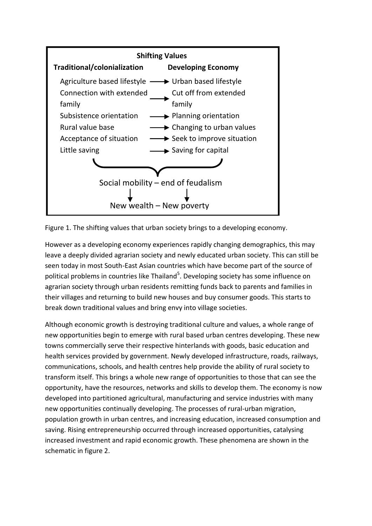

Figure 1. The shifting values that urban society brings to a developing economy.

However as a developing economy experiences rapidly changing demographics, this may leave a deeply divided agrarian society and newly educated urban society. This can still be seen today in most South-East Asian countries which have become part of the source of political problems in countries like Thailand<sup>5</sup>. Developing society has some influence on agrarian society through urban residents remitting funds back to parents and families in their villages and returning to build new houses and buy consumer goods. This starts to break down traditional values and bring envy into village societies.

Although economic growth is destroying traditional culture and values, a whole range of new opportunities begin to emerge with rural based urban centres developing. These new towns commercially serve their respective hinterlands with goods, basic education and health services provided by government. Newly developed infrastructure, roads, railways, communications, schools, and health centres help provide the ability of rural society to transform itself. This brings a whole new range of opportunities to those that can see the opportunity, have the resources, networks and skills to develop them. The economy is now developed into partitioned agricultural, manufacturing and service industries with many new opportunities continually developing. The processes of rural-urban migration, population growth in urban centres, and increasing education, increased consumption and saving. Rising entrepreneurship occurred through increased opportunities, catalysing increased investment and rapid economic growth. These phenomena are shown in the schematic in figure 2.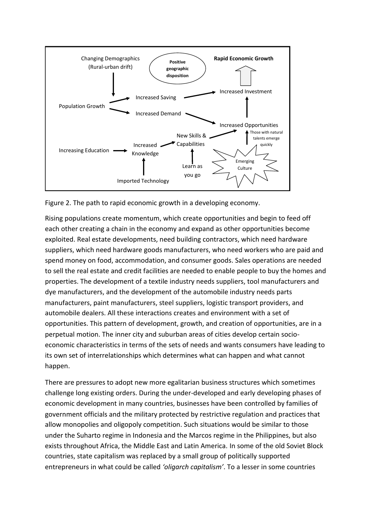

Figure 2. The path to rapid economic growth in a developing economy.

Rising populations create momentum, which create opportunities and begin to feed off each other creating a chain in the economy and expand as other opportunities become exploited. Real estate developments, need building contractors, which need hardware suppliers, which need hardware goods manufacturers, who need workers who are paid and spend money on food, accommodation, and consumer goods. Sales operations are needed to sell the real estate and credit facilities are needed to enable people to buy the homes and properties. The development of a textile industry needs suppliers, tool manufacturers and dye manufacturers, and the development of the automobile industry needs parts manufacturers, paint manufacturers, steel suppliers, logistic transport providers, and automobile dealers. All these interactions creates and environment with a set of opportunities. This pattern of development, growth, and creation of opportunities, are in a perpetual motion. The inner city and suburban areas of cities develop certain socioeconomic characteristics in terms of the sets of needs and wants consumers have leading to its own set of interrelationships which determines what can happen and what cannot happen.

There are pressures to adopt new more egalitarian business structures which sometimes challenge long existing orders. During the under-developed and early developing phases of economic development in many countries, businesses have been controlled by families of government officials and the military protected by restrictive regulation and practices that allow monopolies and oligopoly competition. Such situations would be similar to those under the Suharto regime in Indonesia and the Marcos regime in the Philippines, but also exists throughout Africa, the Middle East and Latin America. In some of the old Soviet Block countries, state capitalism was replaced by a small group of politically supported entrepreneurs in what could be called *'oligarch capitalism'*. To a lesser in some countries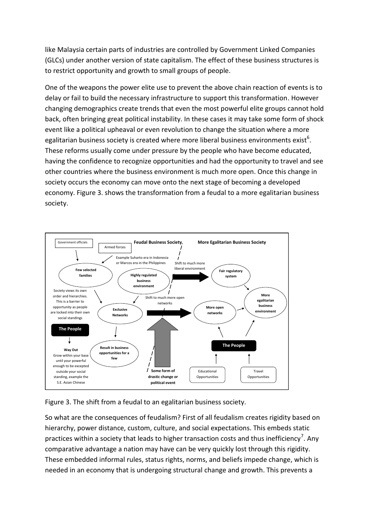like Malaysia certain parts of industries are controlled by Government Linked Companies (GLCs) under another version of state capitalism. The effect of these business structures is to restrict opportunity and growth to small groups of people.

One of the weapons the power elite use to prevent the above chain reaction of events is to delay or fail to build the necessary infrastructure to support this transformation. However changing demographics create trends that even the most powerful elite groups cannot hold back, often bringing great political instability. In these cases it may take some form of shock event like a political upheaval or even revolution to change the situation where a more egalitarian business society is created where more liberal business environments exist<sup>6</sup>. These reforms usually come under pressure by the people who have become educated, having the confidence to recognize opportunities and had the opportunity to travel and see other countries where the business environment is much more open. Once this change in society occurs the economy can move onto the next stage of becoming a developed economy. Figure 3. shows the transformation from a feudal to a more egalitarian business society.



Figure 3. The shift from a feudal to an egalitarian business society.

So what are the consequences of feudalism? First of all feudalism creates rigidity based on hierarchy, power distance, custom, culture, and social expectations. This embeds static practices within a society that leads to higher transaction costs and thus inefficiency<sup>7</sup>. Any comparative advantage a nation may have can be very quickly lost through this rigidity. These embedded informal rules, status rights, norms, and beliefs impede change, which is needed in an economy that is undergoing structural change and growth. This prevents a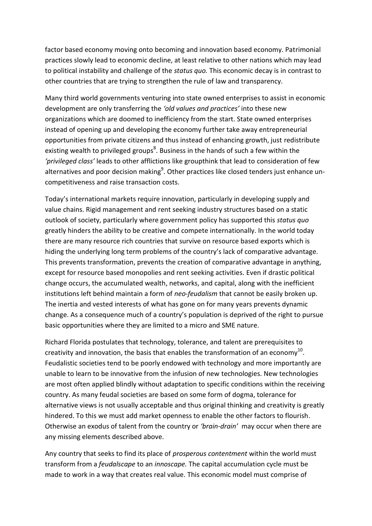factor based economy moving onto becoming and innovation based economy. Patrimonial practices slowly lead to economic decline, at least relative to other nations which may lead to political instability and challenge of the *status quo.* This economic decay is in contrast to other countries that are trying to strengthen the rule of law and transparency.

Many third world governments venturing into state owned enterprises to assist in economic development are only transferring the *'old values and practices'* into these new organizations which are doomed to inefficiency from the start. State owned enterprises instead of opening up and developing the economy further take away entrepreneurial opportunities from private citizens and thus instead of enhancing growth, just redistribute existing wealth to privileged groups<sup>8</sup>. Business in the hands of such a few within the *'privileged class'* leads to other afflictions like groupthink that lead to consideration of few alternatives and poor decision making<sup>9</sup>. Other practices like closed tenders just enhance uncompetitiveness and raise transaction costs.

Today's international markets require innovation, particularly in developing supply and value chains. Rigid management and rent seeking industry structures based on a static outlook of society, particularly where government policy has supported this *status quo* greatly hinders the ability to be creative and compete internationally. In the world today there are many resource rich countries that survive on resource based exports which is hiding the underlying long term problems of the country's lack of comparative advantage. This prevents transformation, prevents the creation of comparative advantage in anything, except for resource based monopolies and rent seeking activities. Even if drastic political change occurs, the accumulated wealth, networks, and capital, along with the inefficient institutions left behind maintain a form of *neo-feudalism* that cannot be easily broken up. The inertia and vested interests of what has gone on for many years prevents dynamic change. As a consequence much of a country's population is deprived of the right to pursue basic opportunities where they are limited to a micro and SME nature.

Richard Florida postulates that technology, tolerance, and talent are prerequisites to creativity and innovation, the basis that enables the transformation of an economy $^{10}$ . Feudalistic societies tend to be poorly endowed with technology and more importantly are unable to learn to be innovative from the infusion of new technologies. New technologies are most often applied blindly without adaptation to specific conditions within the receiving country. As many feudal societies are based on some form of dogma, tolerance for alternative views is not usually acceptable and thus original thinking and creativity is greatly hindered. To this we must add market openness to enable the other factors to flourish. Otherwise an exodus of talent from the country or *'brain-drain'* may occur when there are any missing elements described above.

Any country that seeks to find its place of *prosperous contentment* within the world must transform from a *feudalscape* to an *innoscape.* The capital accumulation cycle must be made to work in a way that creates real value. This economic model must comprise of